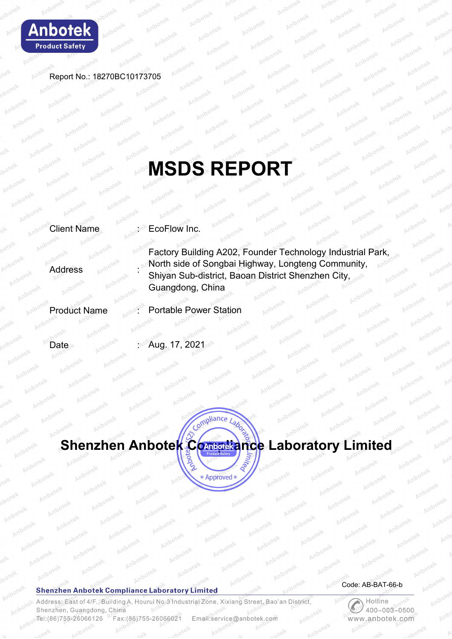

Report No.: 18270BC10173705

# **MSDS REPORT**

Client Name **EcoFlow Inc.** 

**Address** 

Factory Building A202, Founder Technology Industrial Park, North side of Songbai Highway, Longteng Community, Shiyan Sub-district, Baoan District Shenzhen City, Guangdong, China

Product Name : Portable Power Station

Date : Aug. 17, 2021



#### **Shenzhen Anbotek Compliance Laboratory Limited**

Address: East of 4/F., Building A, Hourui No.3 Industrial Zone, Xixiang Street, Bao'an District, Shenzhen, Guangdong, China Tel: (86) 755-26066126 Fax: (86) 755-26066021 Email:service@anbotek.com

Code: AB-BAT-66-b

**C**<br>400-00  $400 - 003 - 0500$ www.anbotek.com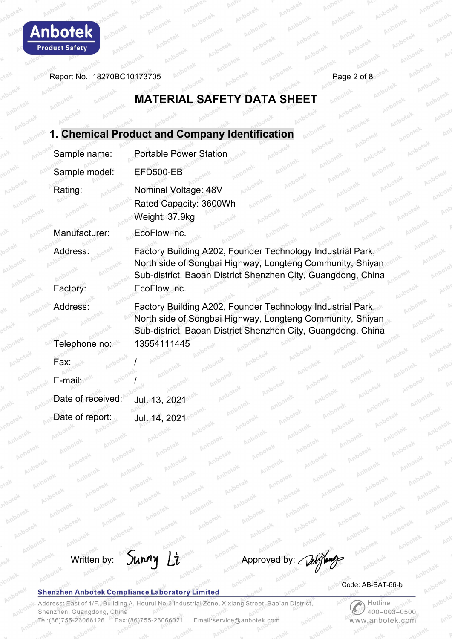

Report No.: 18270BC10173705  $\rho_0$  and  $\rho_0$  and  $\rho_0$  and  $\rho_0$  and  $\rho_0$  Page 2 of 8

# **MATERIAL SAFETY DATA SHEET**

|                                     | 1. Chemical Product and Company Identification                                                                                                                                          |
|-------------------------------------|-----------------------------------------------------------------------------------------------------------------------------------------------------------------------------------------|
| Sample name:                        | <b>Portable Power Station</b>                                                                                                                                                           |
| Sample model:                       | EFD500-EB                                                                                                                                                                               |
| Rating:                             | Nominal Voltage: 48V<br>Anbotek<br>Rated Capacity: 3600Wh<br>Anbotek<br>Anborek<br>Weight: 37.9kg                                                                                       |
| Manufacturer:                       | EcoFlow Inc.                                                                                                                                                                            |
| Address:                            | Factory Building A202, Founder Technology Industrial Park,<br>North side of Songbai Highway, Longteng Community, Shiyan<br>Sub-district, Baoan District Shenzhen City, Guangdong, China |
| Factory:                            | EcoFlow Inc.                                                                                                                                                                            |
| Address:                            | Factory Building A202, Founder Technology Industrial Park,<br>North side of Songbai Highway, Longteng Community, Shiyan<br>Sub-district, Baoan District Shenzhen City, Guangdong, China |
| Telephone no:<br>Fax: <sub>se</sub> | 13554111445                                                                                                                                                                             |
| E-mail:                             |                                                                                                                                                                                         |
| Date of received:                   | Jul. 13, $2021^{\circ}$                                                                                                                                                                 |
| Date of report:                     | Jul. 14, 2021                                                                                                                                                                           |



 $P_{\ell}$ 

#### **Shenzhen Anbotek Compliance Laboratory Limited**

Anb Code: AB-BAT-66-b

Address: East of 4/F., Building A, Hourui No.3 Industrial Zone, Xixiang Street, Bao'an District, Shenzhen, Guangdong, China Tel:(86)755-26066126 Fax:(86)755-26066021 Email:service@anbotek.com

Hotline  $400 - 003 - 0500$ www.anbotek.com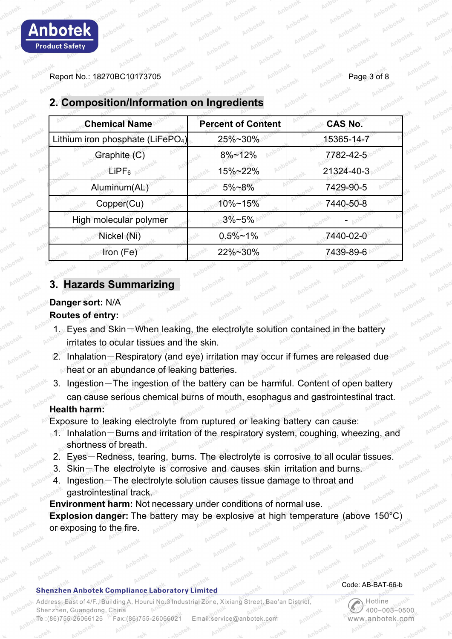Report No.: 18270BC10173705 Page 3 of 8

| <b>Chemical Name</b>                          | <b>Percent of Content</b> | <b>CAS No.</b> |  |
|-----------------------------------------------|---------------------------|----------------|--|
| Lithium iron phosphate (LiFePO <sub>4</sub> ) | 25%~30%                   | 15365-14-7     |  |
| Graphite (C)                                  | $8\% - 12\%$              | 7782-42-5      |  |
| $L$ iPF $_{6}$                                | 15%~22%                   | 21324-40-3     |  |
| Aluminum(AL)                                  | 5%~8%                     | 7429-90-5      |  |
| Copper(Cu)                                    | 10%~15%                   | 7440-50-8      |  |
| High molecular polymer                        | $3\% - 5\%$               |                |  |
| Nickel (Ni)                                   | $0.5\%$ ~1%               | 7440-02-0      |  |
| Iron (Fe)                                     | 22%~30%                   | 7439-89-6      |  |

# **2. Composition/Information on Ingredients**

## **3. Hazards Summarizing**

# **Danger sort:** N/A

## **Routes of entry:**

- 1. Eyes and Skin-When leaking, the electrolyte solution contained in the battery irritates to ocular tissues and the skin.
- 2. Inhalation-Respiratory (and eye) irritation may occur if fumes are released due heat or an abundance of leaking batteries.
- 3. Ingestion-The ingestion of the battery can be harmful. Content of open battery can cause serious chemical burns of mouth, esophagus and gastrointestinal tract.

## **Health harm:**

Exposure to leaking electrolyte from ruptured or leaking battery can cause:

- 1. Inhalation-Burns and irritation of the respiratory system, coughing, wheezing, and shortness of breath.
- 2. Eyes-Redness, tearing, burns. The electrolyte is corrosive to all ocular tissues.
- 3. Skin-The electrolyte is corrosive and causes skin irritation and burns.
- 4. Ingestion-The electrolyte solution causes tissue damage to throat and gastrointestinal track.

**Environment harm:** Not necessary under conditions of normal use. **Explosion danger:** The battery may be explosive at high temperature (above 150°C) or exposing to the fire.

## **Shenzhen Anbotek Compliance Laboratory Limited**

Address: East of 4/F., Building A, Hourui No.3 Industrial Zone, Xixiang Street, Bao'an District Shenzhen, Guangdong, China Fax: (86) 755-26066021 Tel: (86) 755-26066126 Email:service@anbotek.com

## Code: AB-BAT-66-b

Hotline  $400 - 003 - 0500$ vww.anbotek.com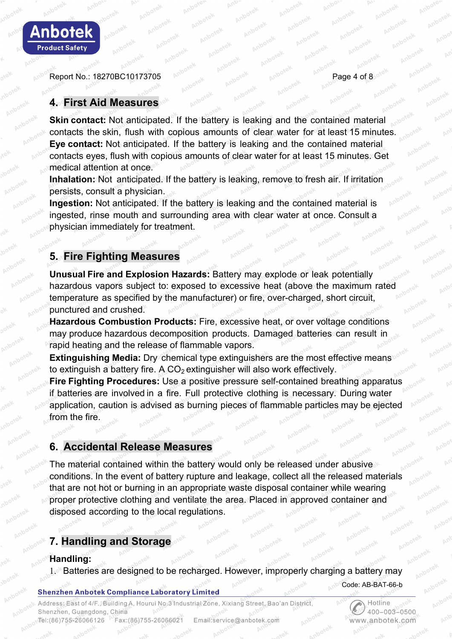Report No.: 18270BC10173705 Page 4 of 8

**Anbotek** 

**Product Safety** 

## **4. First Aid Measures**

**Skin contact:** Not anticipated. If the battery is leaking and the contained material contacts the skin, flush with copious amounts of clear water for at least 15 minutes. **Eye contact:** Not anticipated. If the battery is leaking and the contained material contacts eyes, flush with copious amounts of clear water for at least 15 minutes. Get medical attention at once.

**Inhalation:** Not anticipated. If the battery is leaking, remove to fresh air. If irritation persists, consult a physician.

**Ingestion:** Not anticipated. If the battery is leaking and the contained material is ingested, rinse mouth and surrounding area with clear water at once. Consult a physician immediately for treatment.

# **5. Fire Fighting Measures**

**Unusual Fire and Explosion Hazards:** Battery may explode or leak potentially hazardous vapors subject to: exposed to excessive heat (above the maximum rated temperature as specified by the manufacturer) or fire, over-charged, short circuit, punctured and crushed.

**Hazardous Combustion Products:** Fire, excessive heat, or over voltage conditions may produce hazardous decomposition products. Damaged batteries can result in rapid heating and the release of flammable vapors.

**Extinguishing Media:** Dry chemical type extinguishers are the most effective means to extinguish a battery fire. A  $CO<sub>2</sub>$  extinguisher will also work effectively.

**Fire Fighting Procedures:** Use a positive pressure self-contained breathing apparatus if batteries are involved in a fire. Full protective clothing is necessary. During water application, caution is advised as burning pieces of flammable particles may be ejected from the fire.

## **6. Accidental Release Measures**

The material contained within the battery would only be released under abusive conditions. In the event of battery rupture and leakage, collect all the released materials that are not hot or burning in an appropriate waste disposal container while wearing proper protective clothing and ventilate the area. Placed in approved container and disposed according to the local regulations.

## **7. Handling and Storage**

## **Handling:**

1. Batteries are designed to be recharged. However, improperly charging a battery may

#### **Shenzhen Anbotek Compliance Laboratory Limited**

Address: East of 4/F., Building A, Hourui No.3 Industrial Zone, Xixiang Street, Bao'an District, Shenzhen, Guangdong, China Tel:(86)755-26066126 Fax:(86)755-26066021 Email:service@anbotek.com



Code: AB-BAT-66-b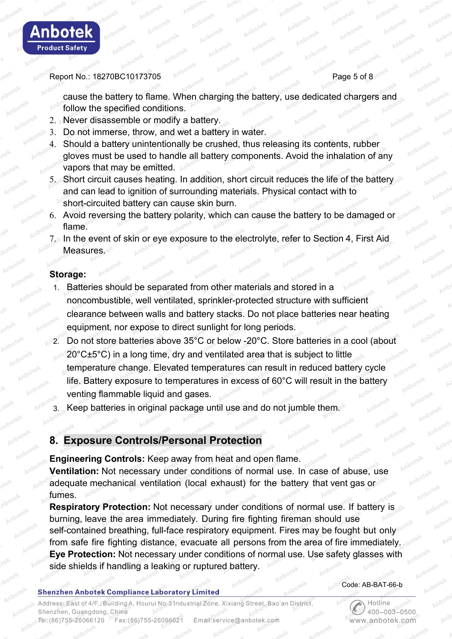

#### Report No.: 18270BC10173705 Page 5 of 8

cause the battery to flame. When charging the battery, use dedicated chargers and follow the specified conditions.

- 2. Never disassemble or modify a battery.
- 3. Do not immerse, throw, and wet a battery in water.
- 4. Should a battery unintentionally be crushed, thus releasing its contents, rubber gloves must be used to handle all battery components. Avoid the inhalation of any vapors that may be emitted.
- 5. Short circuit causes heating. In addition, short circuit reduces the life of the battery and can lead to ignition of surrounding materials. Physical contact with to short-circuited battery can cause skin burn.
- 6. Avoid reversing the battery polarity, which can cause the battery to be damaged or flame.
- 7. In the event of skin or eye exposure to the electrolyte, refer to Section 4, First Aid **Measures.**

## **Storage:**

- Batteries should be separated from other materials and stored in a noncombustible, well ventilated, sprinkler-protected structure with sufficient clearance between walls and battery stacks. Do not place batteries near heating equipment, nor expose to direct sunlight for long periods.
- 2. Do not store batteries above 35°C or below -20°C. Store batteries in a cool (about 20°C±5°C) in a long time, dry and ventilated area that is subject to little temperature change. Elevated temperatures can result in reduced battery cycle life. Battery exposure to temperatures in excess of 60°C will result in the battery venting flammable liquid and gases.
	- Keep batteries in original package until use and do not jumble them.

## **8. Exposure Controls/Personal Protection**

**Engineering Controls:** Keep away from heat and open flame. **Ventilation:** Not necessary under conditions of normal use. In case of abuse, use adequate mechanical ventilation (local exhaust) for the battery that vent gas or fumes.

**Respiratory Protection:** Not necessary under conditions of normal use. If battery is burning, leave the area immediately. During fire fighting fireman should use self-contained breathing, full-face respiratory equipment. Fires may be fought but only from safe fire fighting distance, evacuate all persons from the area of fire immediately. **Eye Protection:** Not necessary under conditions of normal use. Use safety glasses with side shields if handling a leaking or ruptured battery.

#### **Shenzhen Anbotek Compliance Laboratory Limited**

#### Code: AB-BAT-66-b

Hotline

www.anbotek.com

 $400 - 003 - 0500$ 

Address: East of 4/F., Building A, Hourui No.3 Industrial Zone, Xixiang Street, Bao'an District, Shenzhen, Guangdong, China Tel:(86)755-26066126 Fax: (86) 755-26066021 Email:service@anbotek.com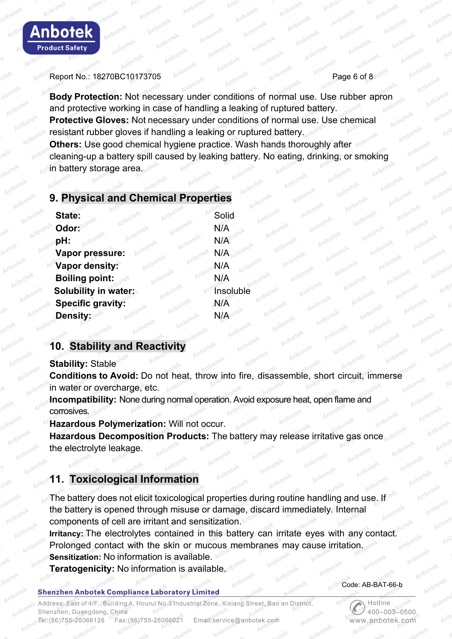

#### Report No.: 18270BC10173705 Page 6 of 8

**Body Protection:** Not necessary under conditions of normal use. Use rubber apron and protective working in case of handling a leaking of ruptured battery. **Protective Gloves:** Not necessary under conditions of normal use. Use chemical resistant rubber gloves if handling a leaking or ruptured battery. **Others:** Use good chemical hygiene practice. Wash hands thoroughly after cleaning-up a battery spill caused by leaking battery. No eating, drinking, or smoking in battery storage area.

## **9. Physical and Chemical Properties**

| State:                      | Solid     |
|-----------------------------|-----------|
| Odor: <sup>10</sup>         | N/A       |
| pH:                         | N/A       |
| Vapor pressure:             | N/A       |
| Vapor density:              | N/A       |
| <b>Boiling point:</b>       | N/A       |
| <b>Solubility in water:</b> | Insoluble |
| <b>Specific gravity:</b>    | N/A       |
| <b>Density:</b>             | N/A       |

## **10. Stability and Reactivity**

**Stability:** Stable

**Conditions to Avoid:** Do not heat, throw into fire, disassemble, short circuit, immerse in water or overcharge, etc.

**Incompatibility:** None during normal operation. Avoid exposure heat, open flame and corrosives.

**Hazardous Polymerization:** Will not occur.

**Hazardous Decomposition Products:** The battery may release irritative gas once the electrolyte leakage.

# **11. Toxicological Information**

The battery does not elicit toxicological properties during routine handling and use. If the battery is opened through misuse or damage, discard immediately. Internal components of cell are irritant and sensitization.

**Irritancy:** The electrolytes contained in this battery can irritate eyes with any contact. Prolonged contact with the skin or mucous membranes may cause irritation. **Sensitization:** No information is available.

**Teratogenicity:** No information is available.

#### **Shenzhen Anbotek Compliance Laboratory Limited**

Address: East of 4/F., Building A, Hourui No.3 Industrial Zone, Xixiang Street, Bao'an District Shenzhen, Guangdong, China Tel:(86)755-26066126 Fax: (86) 755-26066021 Email:service@anbotek.com

Code: AB-BAT-66-b

Hotline  $400 - 003 - 0500$ www.anbotek.com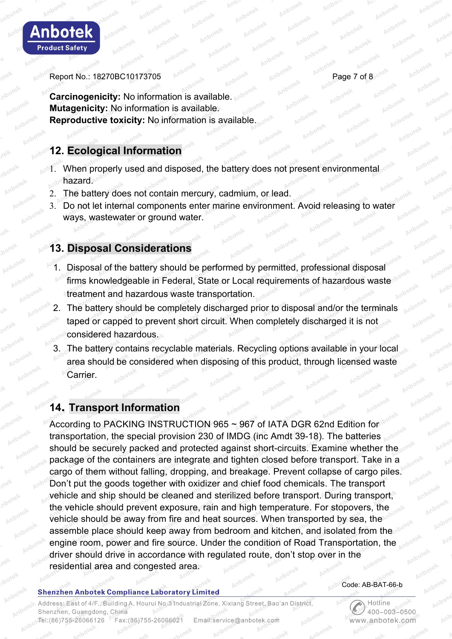

Report No.: 18270BC10173705 Page 7 of 8

**Carcinogenicity:** No information is available. **Mutagenicity:** No information is available. **Reproductive toxicity:** No information is available.

# **12. Ecological Information**

- 1. When properly used and disposed, the battery does not present environmental hazard.
- 2. The battery does not contain mercury, cadmium, or lead.
- 3. Do not let internal components enter marine environment. Avoid releasing to water ways, wastewater or ground water.

# **13. Disposal Considerations**

- 1. Disposal of the battery should be performed by permitted, professional disposal firms knowledgeable in Federal, State or Local requirements of hazardous waste treatment and hazardous waste transportation.
- 2. The battery should be completely discharged prior to disposal and/or the terminals taped or capped to prevent short circuit. When completely discharged it is not considered hazardous.
- 3. The battery contains recyclable materials. Recycling options available in your local area should be considered when disposing of this product, through licensed waste Carrier.

# **14. Transport Information**

According to PACKING INSTRUCTION 965 ~ 967 of IATA DGR 62nd Edition for transportation, the special provision 230 of IMDG (inc Amdt 39-18). The batteries should be securely packed and protected against short-circuits. Examine whether the package of the containers are integrate and tighten closed before transport. Take in a cargo of them without falling, dropping, and breakage. Prevent collapse of cargo piles. Don't put the goods together with oxidizer and chief food chemicals. The transport vehicle and ship should be cleaned and sterilized before transport. During transport, the vehicle should prevent exposure, rain and high temperature. For stopovers, the vehicle should be away from fire and heat sources. When transported by sea, the assemble place should keep away from bedroom and kitchen, and isolated from the engine room, power and fire source. Under the condition of Road Transportation, the driver should drive in accordance with regulated route, don't stop over in the residential area and congested area.

## **Shenzhen Anbotek Compliance Laboratory Limited**

#### Code: AB-BAT-66-b

Hotline

www.anbotek.com

 $400 - 003 - 0500$ 

Address: East of 4/F., Building A, Hourui No.3 Industrial Zone, Xixiang Street, Bao'an District, Shenzhen, Guangdong, China Tel:(86)755-26066126 Fax:(86)755-26066021 Email:service@anbotek.com